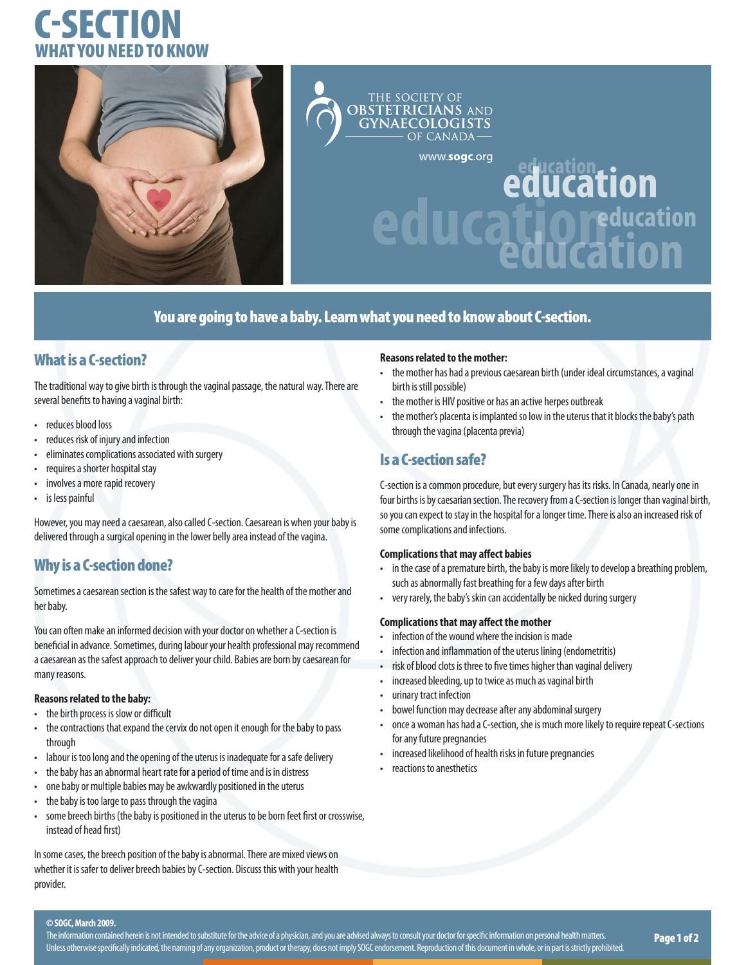# C-SECTION WHAT YOU NFFD TO KN



## THE SOCIETY OF<br>**OBSTETRICIANS GYNAECOLOGISTS** OF CANADAwww.sogc.org education<br>education

## You are going to have a baby. Learn what you need to know about C-section.

## What is a C-section?

The traditional way to give birth is through the vaginal passage, the natural way. There are several benefits to having a vaginal birth:

- reduces blood loss
- reduces risk of injury and infection
- eliminates complications associated with surgery
- requires a shorter hospital stay
- involves a more rapid recovery
- is less painful

However, you may need a caesarean, also called C-section. Caesarean is when your baby is delivered through a surgical opening in the lower belly area instead of the vagina.

## Why is a C-section done?

Sometimes a caesarean section is the safest way to care for the health of the mother and her baby.

You can often make an informed decision with your doctor on whether a C-section is beneficial in advance. Sometimes, during labour your health professional may recommend a caesarean as the safest approach to deliver your child. Babies are born by caesarean for many reasons.

#### **Reasons related to the baby:**

- the birth process is slow or difficult
- the contractions that expand the cervix do not open it enough for the baby to pass through
- labour is too long and the opening of the uterus is inadequate for a safe delivery
- the baby has an abnormal heart rate for a period of time and is in distress
- one baby or multiple babies may be awkwardly positioned in the uterus
- the baby is too large to pass through the vagina
- some breech births (the baby is positioned in the uterus to be born feet first or crosswise, instead of head first)

In some cases, the breech position of the baby is abnormal. There are mixed views on whether it is safer to deliver breech babies by C-section. Discuss this with your health provider.

#### **Reasons related to the mother:**

• the mother has had a previous caesarean birth (under ideal circumstances, a vaginal birth is still possible)

**Reducation** 

**Uration** 

- the mother is HIV positive or has an active herpes outbreak
- the mother's placenta is implanted so low in the uterus that it blocks the baby's path through the vagina (placenta previa)

## Is a C-section safe?

C-section is a common procedure, but every surgery has its risks. In Canada, nearly one in four births is by caesarian section. The recovery from a C-section is longer than vaginal birth, so you can expect to stay in the hospital for a longer time. There is also an increased risk of some complications and infections.

#### **Complications that may affect babies**

- in the case of a premature birth, the baby is more likely to develop a breathing problem, such as abnormally fast breathing for a few days after birth
- very rarely, the baby's skin can accidentally be nicked during surgery

#### **Complications that may affect the mother**

- infection of the wound where the incision is made
- infection and inflammation of the uterus lining (endometritis)
- risk of blood clots is three to five times higher than vaginal delivery
- increased bleeding, up to twice as much as vaginal birth
- urinary tract infection
- bowel function may decrease after any abdominal surgery
- once a woman has had a C-section, she is much more likely to require repeat C-sections for any future pregnancies
- increased likelihood of health risks in future pregnancies
- reactions to anesthetics

#### **© SOGC, March 2009.**